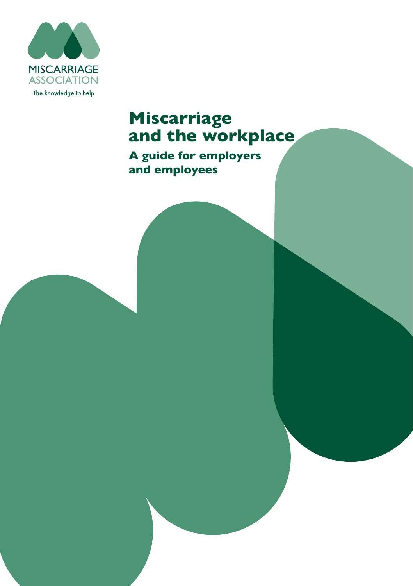

# **Miscarriage and the workplace**

**A guide for employers and employees**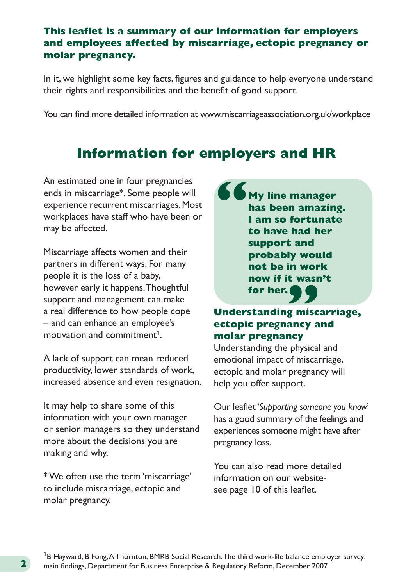#### **This leaflet is a summary of our information for employers and employees affected by miscarriage, ectopic pregnancy or molar pregnancy.**

In it, we highlight some key facts, figures and guidance to help everyone understand their rights and responsibilities and the benefit of good support.

You can find more detailed information at www[.miscarriageassociation.org.uk/workplace](http://www.miscarriageassociation.org.uk/workplace   ) 

# **Information for employers and HR**

An estimated one in four pregnancies ends in miscarriage\*. Some people will experience recurrent miscarriages. Most workplaces have staff who have been or may be affected.

Miscarriage affects women and their partners in different ways. For many people it is the loss of a baby, however early it happens. Thoughtful support and management can make a real difference to how people cope – and can enhance an employee's motivation and commitment<sup>1</sup>

A lack of support can mean reduced productivity, lower standards of work, increased absence and even resignation.

It may help to share some of this information with your own manager or senior managers so they understand more about the decisions you are making and why.

\* We often use the term 'miscarriage' to include miscarriage, ectopic and molar pregnancy.

**My line manager has been amazing. I am so fortunate to have had her support and probably would not be in work now if it wasn't for her. "**

# **Understanding miscarriage, ectopic pregnancy and molar pregnancy 99**<br>g misc<br>ancy a

Understanding the physical and emotional impact of miscarriage, ectopic and molar pregnancy will help you offer support.

Our leaflet '*[Supporting someone you know](https://www.miscarriageassociation.org.uk/wp-content/uploads/2016/10/Supporting-someone-you-know-2019.pdf)*' has a good summary of the feelings and experiences someone might have after pregnancy loss.

You can also read more detailed information on our websitesee page 10 of this leaflet.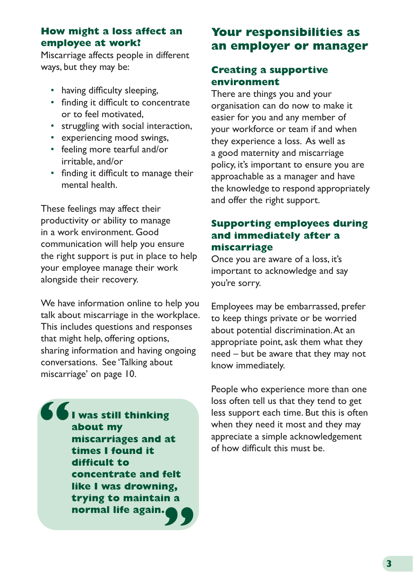#### **How might a loss affect an employee at work?**

Miscarriage affects people in different ways, but they may be:

- having difficulty sleeping,
- finding it difficult to concentrate or to feel motivated,
- struggling with social interaction,
- experiencing mood swings,
- feeling more tearful and/or irritable, and/or
- finding it difficult to manage their mental health.

These feelings may affect their productivity or ability to manage in a work environment. Good communication will help you ensure the right support is put in place to help your employee manage their work alongside their recovery.

We have information online to help you talk about miscarriage in the workplace. This includes questions and responses that might help, offering options, sharing information and having ongoing conversations. See 'Talking about miscarriage' on page 10.

**I was still thinking about my miscarriages and at times I found it difficult to concentrate and felt like I was drowning, trying to maintain a normal life again. " "**

# **Your responsibilities as an employer or manager**

# **Creating a supportive environment**

There are things you and your organisation can do now to make it easier for you and any member of your workforce or team if and when they experience a loss. As well as a good maternity and miscarriage policy, it's important to ensure you are approachable as a manager and have the knowledge to respond appropriately and offer the right support.

# **Supporting employees during and immediately after a miscarriage**

Once you are aware of a loss, it's important to acknowledge and say you're sorry.

Employees may be embarrassed, prefer to keep things private or be worried about potential discrimination. At an appropriate point, ask them what they need – but be aware that they may not know immediately.

People who experience more than one loss often tell us that they tend to get less support each time. But this is often when they need it most and they may appreciate a simple acknowledgement of how difficult this must be.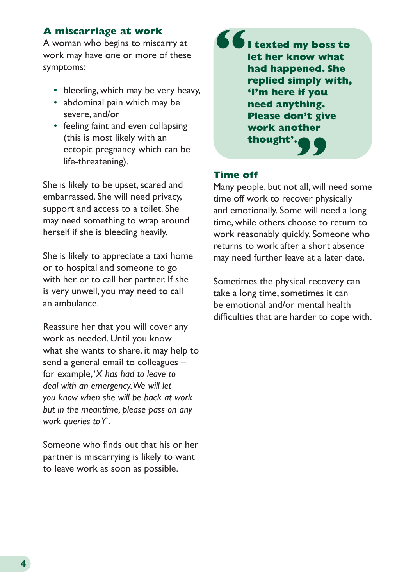#### **A miscarriage at work**

A woman who begins to miscarry at work may have one or more of these symptoms:

- bleeding, which may be very heavy,
- abdominal pain which may be severe, and/or
- feeling faint and even collapsing (this is most likely with an ectopic pregnancy which can be life-threatening).

She is likely to be upset, scared and embarrassed. She will need privacy, support and access to a toilet. She may need something to wrap around herself if she is bleeding heavily.

She is likely to appreciate a taxi home or to hospital and someone to go with her or to call her partner. If she is very unwell, you may need to call an ambulance.

Reassure her that you will cover any work as needed. Until you know what she wants to share, it may help to send a general email to colleagues – for example, '*X has had to leave to deal with an emergency. We will let you know when she will be back at work but in the meantime, please pass on any work queries to Y*'.

Someone who finds out that his or her partner is miscarrying is likely to want to leave work as soon as possible.

**I texted my boss to let her know what had happened. She replied simply with, 'I'm here if you need anything. Please don't give work another thought'. " "**

#### **Time off**

Many people, but not all, will need some time off work to recover physically and emotionally. Some will need a long time, while others choose to return to work reasonably quickly. Someone who returns to work after a short absence may need further leave at a later date.

Sometimes the physical recovery can take a long time, sometimes it can be emotional and/or mental health difficulties that are harder to cope with.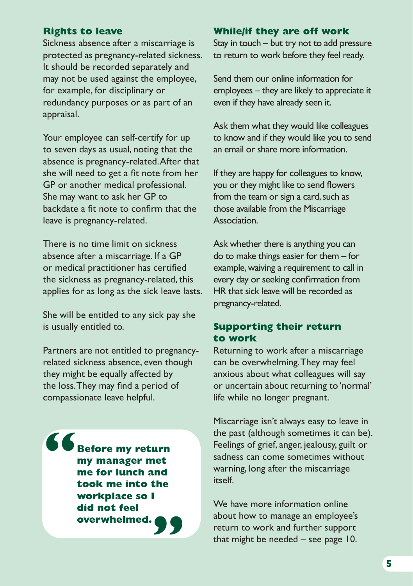#### **Rights to leave**

Sickness absence after a miscarriage is protected as pregnancy-related sickness. It should be recorded separately and may not be used against the employee, for example, for disciplinary or redundancy purposes or as part of an appraisal.

Your employee can self-certify for up to seven days as usual, noting that the absence is pregnancy-related. After that she will need to get a fit note from her GP or another medical professional. She may want to ask her GP to backdate a fit note to confirm that the leave is pregnancy-related.

There is no time limit on sickness absence after a miscarriage. If a GP or medical practitioner has certified the sickness as pregnancy-related, this applies for as long as the sick leave lasts.

She will be entitled to any sick pay she is usually entitled to.

Partners are not entitled to pregnancyrelated sickness absence, even though they might be equally affected by the loss. They may find a period of compassionate leave helpful.

**Before my return my manager met me for lunch and took me into the workplace so I did not feel overwhelmed. " "**

#### **While/if they are off work**

Stay in touch – but try not to add pressure to return to work before they feel ready.

Send them our online information for employees – they are likely to appreciate it even if they have already seen it.

Ask them what they would like colleagues to know and if they would like you to send an email or share more information.

If they are happy for colleagues to know, you or they might like to send flowers from the team or sign a card, such as those available from the Miscarriage **Association** 

Ask whether there is anything you can do to make things easier for them – for example, waiving a requirement to call in every day or seeking confirmation from HR that sick leave will be recorded as pregnancy-related.

#### **Supporting their return to work**

Returning to work after a miscarriage can be overwhelming. They may feel anxious about what colleagues will say or uncertain about returning to 'normal' life while no longer pregnant.

Miscarriage isn't always easy to leave in the past (although sometimes it can be). Feelings of grief, anger, jealousy, guilt or sadness can come sometimes without warning, long after the miscarriage itself.

We have more information online about how to manage an employee's return to work and further support that might be needed – see page 10.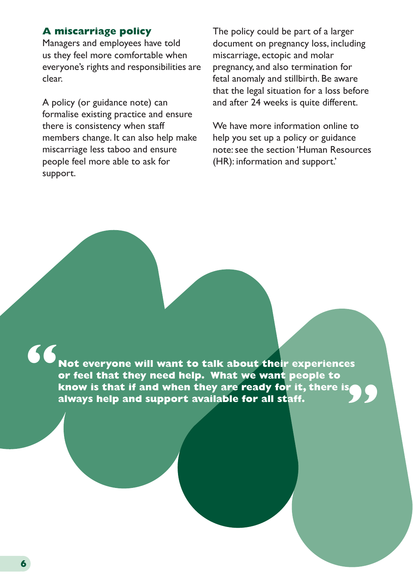# **A miscarriage policy**

Managers and employees have told us they feel more comfortable when everyone's rights and responsibilities are clear.

A policy (or guidance note) can formalise existing practice and ensure there is consistency when staff members change. It can also help make miscarriage less taboo and ensure people feel more able to ask for support.

The policy could be part of a larger document on pregnancy loss, including miscarriage, ectopic and molar pregnancy, and also termination for fetal anomaly and stillbirth. Be aware that the legal situation for a loss before and after 24 weeks is quite different.

We have more information online to help you set up a policy or guidance note: see the section ['Human Resources](https://www.miscarriageassociation.org.uk/information/miscarriage-and-the-workplace/human-resources-hr-information-and-support/a-miscarriage-policy/)  [\(HR\): information and support.](https://www.miscarriageassociation.org.uk/information/miscarriage-and-the-workplace/human-resources-hr-information-and-support/a-miscarriage-policy/)'

**"**

**Not everyone will want to talk about their experiences or feel that they need help. What we want people to know is that if and when they are ready for it, there is always help and support available for all staff. "**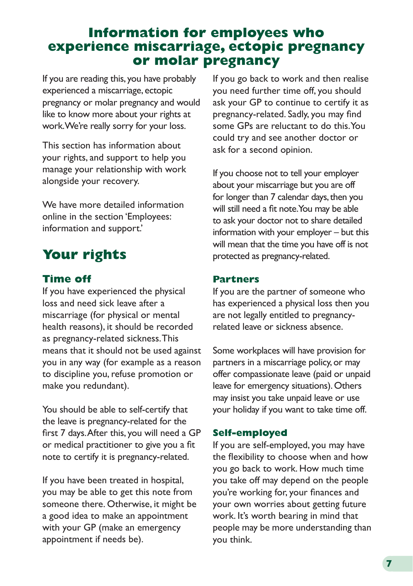# **Information for employees who experience miscarriage, ectopic pregnancy or molar pregnancy**

If you are reading this, you have probably experienced a miscarriage, ectopic pregnancy or molar pregnancy and would like to know more about your rights at work. We're really sorry for your loss.

This section has information about your rights, and support to help you manage your relationship with work alongside your recovery.

We have more detailed information online in the section ['Employees:](https://www.miscarriageassociation.org.uk/information/miscarriage-and-the-workplace/employees-information-and-support/)  [information and support.](https://www.miscarriageassociation.org.uk/information/miscarriage-and-the-workplace/employees-information-and-support/)'

# **Your rights**

# **Time off**

If you have experienced the physical loss and need sick leave after a miscarriage (for physical or mental health reasons), it should be recorded as pregnancy-related sickness. This means that it should not be used against you in any way (for example as a reason to discipline you, refuse promotion or make you redundant).

You should be able to self-certify that the leave is pregnancy-related for the first 7 days. After this, you will need a GP or medical practitioner to give you a fit note to certify it is pregnancy-related.

If you have been treated in hospital, you may be able to get this note from someone there. Otherwise, it might be a good idea to make an appointment with your GP (make an emergency appointment if needs be).

If you go back to work and then realise you need further time off, you should ask your GP to continue to certify it as pregnancy-related. Sadly, you may find some GPs are reluctant to do this. You could try and see another doctor or ask for a second opinion.

If you choose not to tell your employer about your miscarriage but you are off for longer than 7 calendar days, then you will still need a fit note. You may be able to ask your doctor not to share detailed information with your employer – but this will mean that the time you have off is not protected as pregnancy-related.

#### **Partners**

If you are the partner of someone who has experienced a physical loss then you are not legally entitled to pregnancyrelated leave or sickness absence.

Some workplaces will have provision for partners in a miscarriage policy, or may offer compassionate leave (paid or unpaid leave for emergency situations). Others may insist you take unpaid leave or use your holiday if you want to take time off.

# **Self-employed**

If you are self-employed, you may have the flexibility to choose when and how you go back to work. How much time you take off may depend on the people you're working for, your finances and your own worries about getting future work. It's worth bearing in mind that people may be more understanding than you think.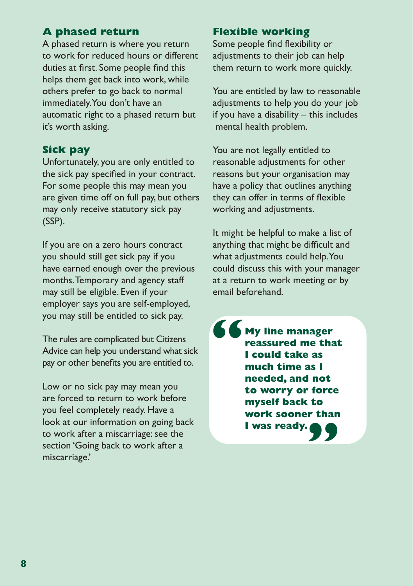# **A phased return**

A phased return is where you return to work for reduced hours or different duties at first. Some people find this helps them get back into work, while others prefer to go back to normal immediately. You don't have an automatic right to a phased return but it's worth asking.

# **Sick pay**

Unfortunately, you are only entitled to the sick pay specified in your contract. For some people this may mean you are given time off on full pay, but others may only receive statutory sick pay (SSP).

If you are on a zero hours contract you should still get sick pay if you have earned enough over the previous months. Temporary and agency staff may still be eligible. Even if your employer says you are self-employed, you may still be entitled to sick pay.

The rules are complicated but Citizens Advice can help you understand what sick pay or other benefits you are entitled to.

Low or no sick pay may mean you are forced to return to work before you feel completely ready. Have a look at our information on going back to work after a miscarriage: see the section ['Going back to work after a](https://www.miscarriageassociation.org.uk/information/miscarriage-and-the-workplace/employees-information-and-support/going-back-to-work-after-a-miscarriage/)  [miscarriage.'](https://www.miscarriageassociation.org.uk/information/miscarriage-and-the-workplace/employees-information-and-support/going-back-to-work-after-a-miscarriage/)

# **Flexible working**

Some people find flexibility or adjustments to their job can help them return to work more quickly.

You are entitled by law to reasonable adjustments to help you do your job if you have a disability – this includes mental health problem.

You are not legally entitled to reasonable adjustments for other reasons but your organisation may have a policy that outlines anything they can offer in terms of flexible working and adjustments.

It might be helpful to make a list of anything that might be difficult and what adjustments could help. You could discuss this with your manager at a return to work meeting or by email beforehand.

**" " My line manager reassured me that I could take as much time as I needed, and not to worry or force myself back to work sooner than I was ready.**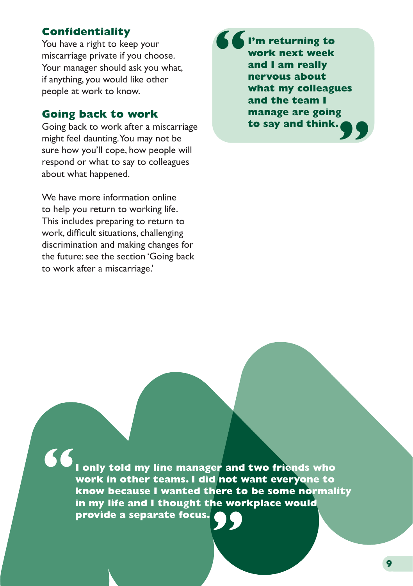# **Confidentiality**

You have a right to keep your miscarriage private if you choose. Your manager should ask you what, if anything, you would like other people at work to know.

# **Going back to work**

Going back to work after a miscarriage might feel daunting. You may not be sure how you'll cope, how people will respond or what to say to colleagues about what happened.

We have more information online to help you return to working life. This includes preparing to return to work, difficult situations, challenging discrimination and making changes for the future: see the section ['Going back](https://www.miscarriageassociation.org.uk/information/miscarriage-and-the-workplace/employees-information-and-support/going-back-to-work-after-a-miscarriage/)  [to work after a miscarriage.'](https://www.miscarriageassociation.org.uk/information/miscarriage-and-the-workplace/employees-information-and-support/going-back-to-work-after-a-miscarriage/)

**" " I'm returning to work next week and I am really nervous about what my colleagues and the team I manage are going to say and think.**

**"I only told my line manager and two friends who work in other teams. I did not want everyone to know because I wanted there to be some normality in my life and I thought the workplace would provide a separate focus."**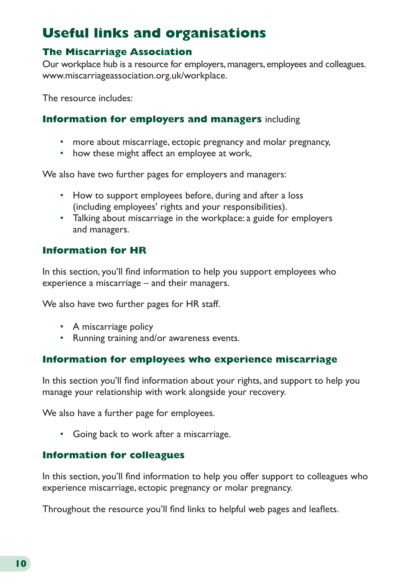# **Useful links and organisations**

### **The Miscarriage Association**

Our workplace hub is a resource for employers, managers, employees and colleagues. [www.miscarriageassociation.org.uk/workplace](http://miscarriageassociation.org.uk/workplace).

The resource includes:

#### **[Information for employers and managers](https://www.miscarriageassociation.org.uk/information/miscarriage-and-the-workplace/employers-and-managers-information-and-support/)** including

- more about miscarriage, ectopic pregnancy and molar pregnancy,
- how these might affect an employee at work,

We also have two further pages for employers and managers:

- [How to support employees before, during and after a loss](https://www.miscarriageassociation.org.uk/information/miscarriage-and-the-workplace/employers-and-managers-information-and-support/supporting-an-employee-before-during-and-after-a-loss/) (including employees' rights and your responsibilities).
- [Talking about miscarriage in the workplace: a guide for employers](https://www.miscarriageassociation.org.uk/information/miscarriage-and-the-workplace/employers-and-managers-information-and-support/talking-about-miscarriage-in-the-workplace-a-guide-for-employers-and-managers/)  [and managers.](https://www.miscarriageassociation.org.uk/information/miscarriage-and-the-workplace/employers-and-managers-information-and-support/talking-about-miscarriage-in-the-workplace-a-guide-for-employers-and-managers/)

## **[Information for HR](https://www.miscarriageassociation.org.uk/information/miscarriage-and-the-workplace/human-resources-hr-information-and-support/)**

In this section, you'll find information to help you support employees who experience a miscarriage – and their managers.

We also have two further pages for HR staff.

- [A miscarriage policy](https://www.miscarriageassociation.org.uk/information/miscarriage-and-the-workplace/human-resources-hr-information-and-support/a-miscarriage-policy/)
- [Running training and/or awareness events.](https://www.miscarriageassociation.org.uk/information/miscarriage-and-the-workplace/human-resources-hr-information-and-support/running-training-and-or-awareness-events/)

#### **[Information for employees who experience miscarriage](https://www.miscarriageassociation.org.uk/information/miscarriage-and-the-workplace/employees-information-and-support/)**

In this section you'll find information about your rights, and support to help you manage your relationship with work alongside your recovery.

We also have a further page for employees.

• [Going back to work after a miscarriage.](https://www.miscarriageassociation.org.uk/information/miscarriage-and-the-workplace/employees-information-and-support/going-back-to-work-after-a-miscarriage/)

#### **[Information for colleagues](https://www.miscarriageassociation.org.uk/information/miscarriage-and-the-workplace/colleagues-information-and-support/)**

In this section, you'll find information to help you offer support to colleagues who experience miscarriage, ectopic pregnancy or molar pregnancy.

Throughout the resource you'll find links to helpful web pages and leaflets.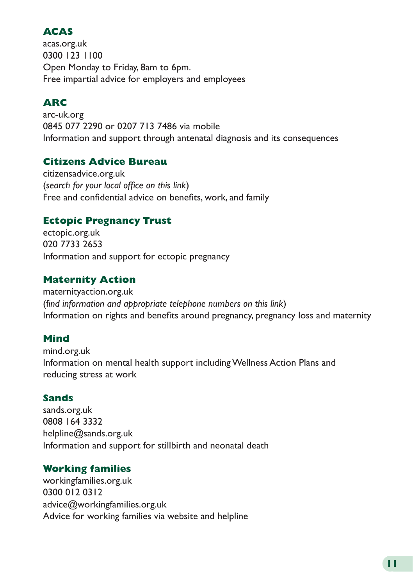# **ACAS**

[acas.org.uk](https://www.acas.org.uk/) 0300 123 1100 Open Monday to Friday, 8am to 6pm. Free impartial advice for employers and employees

# **ARC**

[arc-uk.org](https://www.arc-uk.org/) 0845 077 2290 or 0207 713 7486 via mobile Information and support through antenatal diagnosis and its consequences

#### **Citizens Advice Bureau**

[citizensadvice.org.uk](http://www.citizensadvice.org.uk) (*search for your local office on this link*) Free and confidential advice on benefits, work, and family

#### **Ectopic Pregnancy Trust**

[ectopic.org.uk](https://ectopic.org.uk/) 020 7733 2653 Information and support for ectopic pregnancy

## **Maternity Action**

[maternityaction.org.uk](https://maternityaction.org.uk/) (f*ind information and appropriate telephone numbers on this link*) Information on rights and benefits around pregnancy, pregnancy loss and maternity

# **Mind**

[mind.org.uk](https://www.mind.org.uk/) Information on mental health support including Wellness Action Plans and reducing stress at work

#### **Sands**

[sands.org.uk](https://sands.org.uk/) 0808 164 3332 [helpline@sands.org.uk](mailto:helpline@sands.org.uk) Information and support for stillbirth and neonatal death

#### **Working families**

[workingfamilies.org.uk](https://workingfamilies.org.uk/) 0300 012 0312 [advice@workingfamilies.org.uk](http://advice@workingfamilies.org.uk) Advice for working families via website and helpline